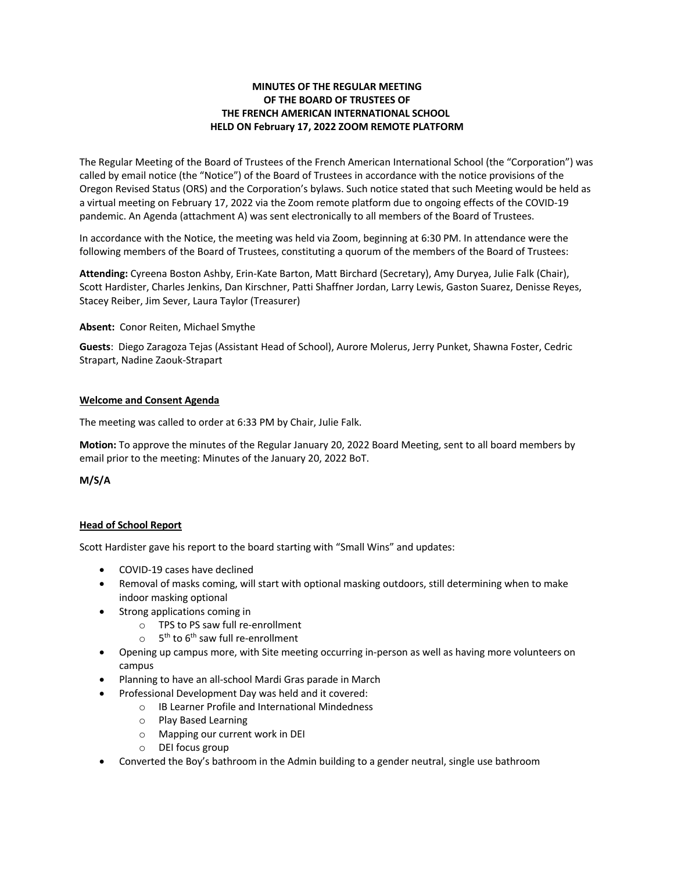# **MINUTES OF THE REGULAR MEETING OF THE BOARD OF TRUSTEES OF THE FRENCH AMERICAN INTERNATIONAL SCHOOL HELD ON February 17, 2022 ZOOM REMOTE PLATFORM**

The Regular Meeting of the Board of Trustees of the French American International School (the "Corporation") was called by email notice (the "Notice") of the Board of Trustees in accordance with the notice provisions of the Oregon Revised Status (ORS) and the Corporation's bylaws. Such notice stated that such Meeting would be held as a virtual meeting on February 17, 2022 via the Zoom remote platform due to ongoing effects of the COVID-19 pandemic. An Agenda (attachment A) was sent electronically to all members of the Board of Trustees.

In accordance with the Notice, the meeting was held via Zoom, beginning at 6:30 PM. In attendance were the following members of the Board of Trustees, constituting a quorum of the members of the Board of Trustees:

**Attending:** Cyreena Boston Ashby, Erin-Kate Barton, Matt Birchard (Secretary), Amy Duryea, Julie Falk (Chair), Scott Hardister, Charles Jenkins, Dan Kirschner, Patti Shaffner Jordan, Larry Lewis, Gaston Suarez, Denisse Reyes, Stacey Reiber, Jim Sever, Laura Taylor (Treasurer)

**Absent:** Conor Reiten, Michael Smythe

**Guests**: Diego Zaragoza Tejas (Assistant Head of School), Aurore Molerus, Jerry Punket, Shawna Foster, Cedric Strapart, Nadine Zaouk-Strapart

### **Welcome and Consent Agenda**

The meeting was called to order at 6:33 PM by Chair, Julie Falk.

**Motion:** To approve the minutes of the Regular January 20, 2022 Board Meeting, sent to all board members by email prior to the meeting: Minutes of the January 20, 2022 BoT.

**M/S/A**

## **Head of School Report**

Scott Hardister gave his report to the board starting with "Small Wins" and updates:

- COVID-19 cases have declined
- Removal of masks coming, will start with optional masking outdoors, still determining when to make indoor masking optional
- Strong applications coming in
	- o TPS to PS saw full re-enrollment
	- $\circ$  5<sup>th</sup> to 6<sup>th</sup> saw full re-enrollment
- Opening up campus more, with Site meeting occurring in-person as well as having more volunteers on campus
- Planning to have an all-school Mardi Gras parade in March
- Professional Development Day was held and it covered:
	- o IB Learner Profile and International Mindedness
	- o Play Based Learning
	- o Mapping our current work in DEI
	- o DEI focus group
- Converted the Boy's bathroom in the Admin building to a gender neutral, single use bathroom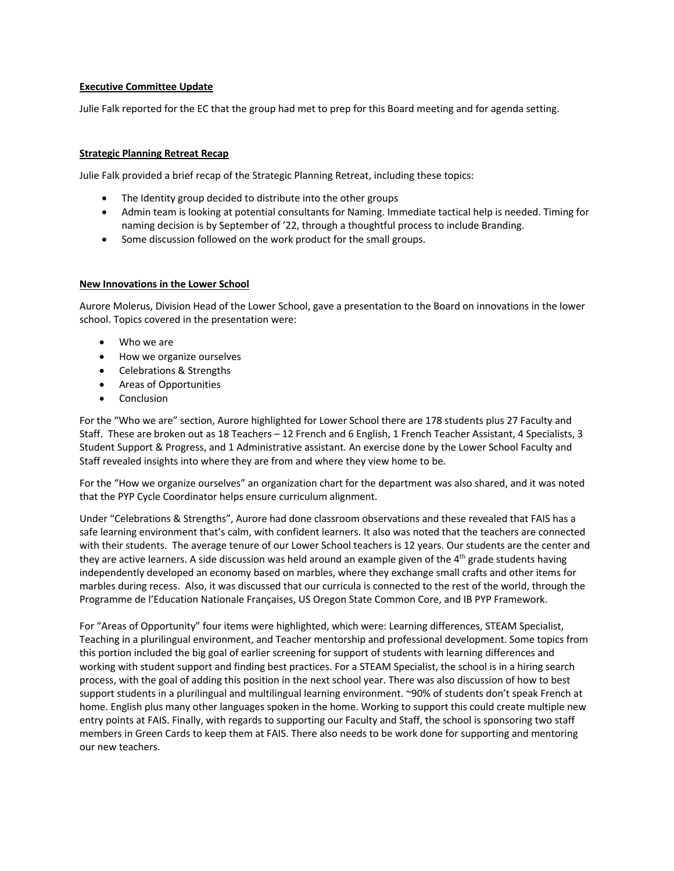## **Executive Committee Update**

Julie Falk reported for the EC that the group had met to prep for this Board meeting and for agenda setting.

### **Strategic Planning Retreat Recap**

Julie Falk provided a brief recap of the Strategic Planning Retreat, including these topics:

- The Identity group decided to distribute into the other groups
- Admin team is looking at potential consultants for Naming. Immediate tactical help is needed. Timing for naming decision is by September of '22, through a thoughtful process to include Branding.
- Some discussion followed on the work product for the small groups.

### **New Innovations in the Lower School**

Aurore Molerus, Division Head of the Lower School, gave a presentation to the Board on innovations in the lower school. Topics covered in the presentation were:

- Who we are
- How we organize ourselves
- Celebrations & Strengths
- Areas of Opportunities
- Conclusion

For the "Who we are" section, Aurore highlighted for Lower School there are 178 students plus 27 Faculty and Staff. These are broken out as 18 Teachers – 12 French and 6 English, 1 French Teacher Assistant, 4 Specialists, 3 Student Support & Progress, and 1 Administrative assistant. An exercise done by the Lower School Faculty and Staff revealed insights into where they are from and where they view home to be.

For the "How we organize ourselves" an organization chart for the department was also shared, and it was noted that the PYP Cycle Coordinator helps ensure curriculum alignment.

Under "Celebrations & Strengths", Aurore had done classroom observations and these revealed that FAIS has a safe learning environment that's calm, with confident learners. It also was noted that the teachers are connected with their students. The average tenure of our Lower School teachers is 12 years. Our students are the center and they are active learners. A side discussion was held around an example given of the 4<sup>th</sup> grade students having independently developed an economy based on marbles, where they exchange small crafts and other items for marbles during recess. Also, it was discussed that our curricula is connected to the rest of the world, through the Programme de l'Education Nationale Françaises, US Oregon State Common Core, and IB PYP Framework.

For "Areas of Opportunity" four items were highlighted, which were: Learning differences, STEAM Specialist, Teaching in a plurilingual environment, and Teacher mentorship and professional development. Some topics from this portion included the big goal of earlier screening for support of students with learning differences and working with student support and finding best practices. For a STEAM Specialist, the school is in a hiring search process, with the goal of adding this position in the next school year. There was also discussion of how to best support students in a plurilingual and multilingual learning environment. ~90% of students don't speak French at home. English plus many other languages spoken in the home. Working to support this could create multiple new entry points at FAIS. Finally, with regards to supporting our Faculty and Staff, the school is sponsoring two staff members in Green Cards to keep them at FAIS. There also needs to be work done for supporting and mentoring our new teachers.